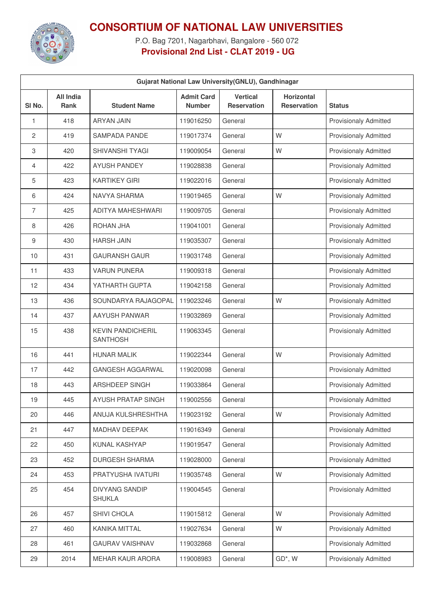

## **CONSORTIUM OF NATIONAL LAW UNIVERSITIES**

P.O. Bag 7201, Nagarbhavi, Bangalore - 560 072 **Provisional 2nd List - CLAT 2019 - UG**

| Gujarat National Law University (GNLU), Gandhinagar |                          |                                             |                                    |                                       |                                         |                              |  |  |
|-----------------------------------------------------|--------------------------|---------------------------------------------|------------------------------------|---------------------------------------|-----------------------------------------|------------------------------|--|--|
| SI <sub>No.</sub>                                   | All India<br><b>Rank</b> | <b>Student Name</b>                         | <b>Admit Card</b><br><b>Number</b> | <b>Vertical</b><br><b>Reservation</b> | <b>Horizontal</b><br><b>Reservation</b> | <b>Status</b>                |  |  |
| 1                                                   | 418                      | <b>ARYAN JAIN</b>                           | 119016250                          | General                               |                                         | <b>Provisionaly Admitted</b> |  |  |
| 2                                                   | 419                      | <b>SAMPADA PANDE</b>                        | 119017374                          | General                               | W                                       | <b>Provisionaly Admitted</b> |  |  |
| 3                                                   | 420                      | <b>SHIVANSHI TYAGI</b>                      | 119009054                          | General                               | W                                       | <b>Provisionaly Admitted</b> |  |  |
| 4                                                   | 422                      | <b>AYUSH PANDEY</b>                         | 119028838                          | General                               |                                         | <b>Provisionaly Admitted</b> |  |  |
| 5                                                   | 423                      | <b>KARTIKEY GIRI</b>                        | 119022016                          | General                               |                                         | <b>Provisionaly Admitted</b> |  |  |
| 6                                                   | 424                      | <b>NAVYA SHARMA</b>                         | 119019465                          | General                               | W                                       | <b>Provisionaly Admitted</b> |  |  |
| 7                                                   | 425                      | ADITYA MAHESHWARI                           | 119009705                          | General                               |                                         | <b>Provisionaly Admitted</b> |  |  |
| 8                                                   | 426                      | <b>ROHAN JHA</b>                            | 119041001                          | General                               |                                         | <b>Provisionaly Admitted</b> |  |  |
| 9                                                   | 430                      | <b>HARSH JAIN</b>                           | 119035307                          | General                               |                                         | <b>Provisionaly Admitted</b> |  |  |
| 10                                                  | 431                      | <b>GAURANSH GAUR</b>                        | 119031748                          | General                               |                                         | <b>Provisionaly Admitted</b> |  |  |
| 11                                                  | 433                      | <b>VARUN PUNERA</b>                         | 119009318                          | General                               |                                         | <b>Provisionaly Admitted</b> |  |  |
| 12                                                  | 434                      | YATHARTH GUPTA                              | 119042158                          | General                               |                                         | <b>Provisionaly Admitted</b> |  |  |
| 13                                                  | 436                      | SOUNDARYA RAJAGOPAL                         | 119023246                          | General                               | W                                       | <b>Provisionaly Admitted</b> |  |  |
| 14                                                  | 437                      | AAYUSH PANWAR                               | 119032869                          | General                               |                                         | <b>Provisionaly Admitted</b> |  |  |
| 15                                                  | 438                      | <b>KEVIN PANDICHERIL</b><br><b>SANTHOSH</b> | 119063345                          | General                               |                                         | <b>Provisionaly Admitted</b> |  |  |
| 16                                                  | 441                      | <b>HUNAR MALIK</b>                          | 119022344                          | General                               | W                                       | <b>Provisionaly Admitted</b> |  |  |
| 17                                                  | 442                      | <b>GANGESH AGGARWAL</b>                     | 119020098                          | General                               |                                         | <b>Provisionaly Admitted</b> |  |  |
| 18                                                  | 443                      | <b>ARSHDEEP SINGH</b>                       | 119033864                          | General                               |                                         | <b>Provisionaly Admitted</b> |  |  |
| 19                                                  | 445                      | AYUSH PRATAP SINGH                          | 119002556                          | General                               |                                         | <b>Provisionaly Admitted</b> |  |  |
| 20                                                  | 446                      | ANUJA KULSHRESHTHA                          | 119023192                          | General                               | W                                       | <b>Provisionaly Admitted</b> |  |  |
| 21                                                  | 447                      | MADHAV DEEPAK                               | 119016349                          | General                               |                                         | Provisionaly Admitted        |  |  |
| 22                                                  | 450                      | KUNAL KASHYAP                               | 119019547                          | General                               |                                         | Provisionaly Admitted        |  |  |
| 23                                                  | 452                      | DURGESH SHARMA                              | 119028000                          | General                               |                                         | Provisionaly Admitted        |  |  |
| 24                                                  | 453                      | PRATYUSHA IVATURI                           | 119035748                          | General                               | W                                       | <b>Provisionaly Admitted</b> |  |  |
| 25                                                  | 454                      | <b>DIVYANG SANDIP</b><br><b>SHUKLA</b>      | 119004545                          | General                               |                                         | <b>Provisionaly Admitted</b> |  |  |
| 26                                                  | 457                      | SHIVI CHOLA                                 | 119015812                          | General                               | W                                       | <b>Provisionaly Admitted</b> |  |  |
| 27                                                  | 460                      | KANIKA MITTAL                               | 119027634                          | General                               | W                                       | Provisionaly Admitted        |  |  |
| 28                                                  | 461                      | <b>GAURAV VAISHNAV</b>                      | 119032868                          | General                               |                                         | <b>Provisionaly Admitted</b> |  |  |
| 29                                                  | 2014                     | <b>MEHAR KAUR ARORA</b>                     | 119008983                          | General                               | GD*, W                                  | Provisionaly Admitted        |  |  |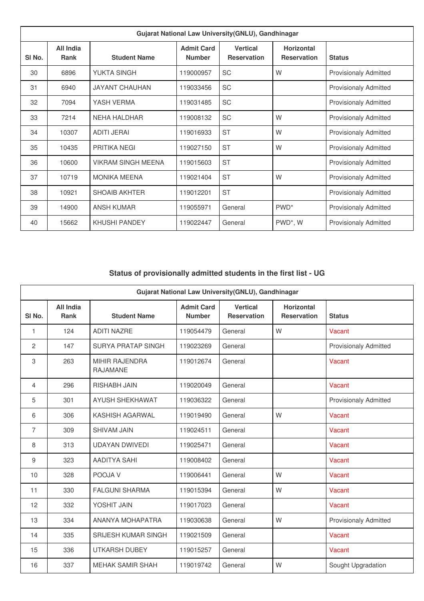| Gujarat National Law University (GNLU), Gandhinagar |                          |                           |                                    |                                       |                                         |                              |  |  |
|-----------------------------------------------------|--------------------------|---------------------------|------------------------------------|---------------------------------------|-----------------------------------------|------------------------------|--|--|
| SI <sub>No.</sub>                                   | All India<br><b>Rank</b> | <b>Student Name</b>       | <b>Admit Card</b><br><b>Number</b> | <b>Vertical</b><br><b>Reservation</b> | <b>Horizontal</b><br><b>Reservation</b> | <b>Status</b>                |  |  |
| 30                                                  | 6896                     | <b>YUKTA SINGH</b>        | 119000957                          | <b>SC</b>                             | W                                       | <b>Provisionaly Admitted</b> |  |  |
| 31                                                  | 6940                     | <b>JAYANT CHAUHAN</b>     | 119033456                          | <b>SC</b>                             |                                         | <b>Provisionaly Admitted</b> |  |  |
| 32                                                  | 7094                     | YASH VERMA                | 119031485                          | <b>SC</b>                             |                                         | <b>Provisionaly Admitted</b> |  |  |
| 33                                                  | 7214                     | <b>NEHA HALDHAR</b>       | 119008132                          | <b>SC</b>                             | W                                       | <b>Provisionaly Admitted</b> |  |  |
| 34                                                  | 10307                    | <b>ADITI JERAI</b>        | 119016933                          | <b>ST</b>                             | W                                       | <b>Provisionaly Admitted</b> |  |  |
| 35                                                  | 10435                    | PRITIKA NEGI              | 119027150                          | <b>ST</b>                             | W                                       | <b>Provisionaly Admitted</b> |  |  |
| 36                                                  | 10600                    | <b>VIKRAM SINGH MEENA</b> | 119015603                          | <b>ST</b>                             |                                         | <b>Provisionaly Admitted</b> |  |  |
| 37                                                  | 10719                    | <b>MONIKA MEENA</b>       | 119021404                          | <b>ST</b>                             | W                                       | <b>Provisionaly Admitted</b> |  |  |
| 38                                                  | 10921                    | <b>SHOAIB AKHTER</b>      | 119012201                          | <b>ST</b>                             |                                         | <b>Provisionaly Admitted</b> |  |  |
| 39                                                  | 14900                    | <b>ANSH KUMAR</b>         | 119055971                          | General                               | PWD <sup>*</sup>                        | <b>Provisionaly Admitted</b> |  |  |
| 40                                                  | 15662                    | <b>KHUSHI PANDEY</b>      | 119022447                          | General                               | PWD*, W                                 | <b>Provisionaly Admitted</b> |  |  |

## **Status of provisionally admitted students in the first list - UG**

| Gujarat National Law University(GNLU), Gandhinagar |                                 |                                          |                                    |                                       |                                         |                              |  |  |
|----------------------------------------------------|---------------------------------|------------------------------------------|------------------------------------|---------------------------------------|-----------------------------------------|------------------------------|--|--|
| SI <sub>No.</sub>                                  | <b>All India</b><br><b>Rank</b> | <b>Student Name</b>                      | <b>Admit Card</b><br><b>Number</b> | <b>Vertical</b><br><b>Reservation</b> | <b>Horizontal</b><br><b>Reservation</b> | <b>Status</b>                |  |  |
| 1                                                  | 124                             | <b>ADITI NAZRE</b>                       | 119054479                          | General                               | W                                       | Vacant                       |  |  |
| $\overline{c}$                                     | 147                             | <b>SURYA PRATAP SINGH</b>                | 119023269                          | General                               |                                         | <b>Provisionaly Admitted</b> |  |  |
| 3                                                  | 263                             | <b>MIHIR RAJENDRA</b><br><b>RAJAMANE</b> | 119012674                          | General                               |                                         | Vacant                       |  |  |
| 4                                                  | 296                             | <b>RISHABH JAIN</b>                      | 119020049                          | General                               |                                         | <b>Vacant</b>                |  |  |
| 5                                                  | 301                             | AYUSH SHEKHAWAT                          | 119036322                          | General                               |                                         | <b>Provisionaly Admitted</b> |  |  |
| 6                                                  | 306                             | KASHISH AGARWAL                          | 119019490                          | General                               | W                                       | Vacant                       |  |  |
| 7                                                  | 309                             | <b>SHIVAM JAIN</b>                       | 119024511                          | General                               |                                         | Vacant                       |  |  |
| 8                                                  | 313                             | <b>UDAYAN DWIVEDI</b>                    | 119025471                          | General                               |                                         | Vacant                       |  |  |
| 9                                                  | 323                             | <b>AADITYA SAHI</b>                      | 119008402                          | General                               |                                         | Vacant                       |  |  |
| 10                                                 | 328                             | POOJA V                                  | 119006441                          | General                               | W                                       | Vacant                       |  |  |
| 11                                                 | 330                             | <b>FALGUNI SHARMA</b>                    | 119015394                          | General                               | W                                       | Vacant                       |  |  |
| 12                                                 | 332                             | YOSHIT JAIN                              | 119017023                          | General                               |                                         | Vacant                       |  |  |
| 13                                                 | 334                             | ANANYA MOHAPATRA                         | 119030638                          | General                               | W                                       | <b>Provisionaly Admitted</b> |  |  |
| 14                                                 | 335                             | <b>SRIJESH KUMAR SINGH</b>               | 119021509                          | General                               |                                         | Vacant                       |  |  |
| 15                                                 | 336                             | <b>UTKARSH DUBEY</b>                     | 119015257                          | General                               |                                         | Vacant                       |  |  |
| 16                                                 | 337                             | <b>MEHAK SAMIR SHAH</b>                  | 119019742                          | General                               | W                                       | Sought Upgradation           |  |  |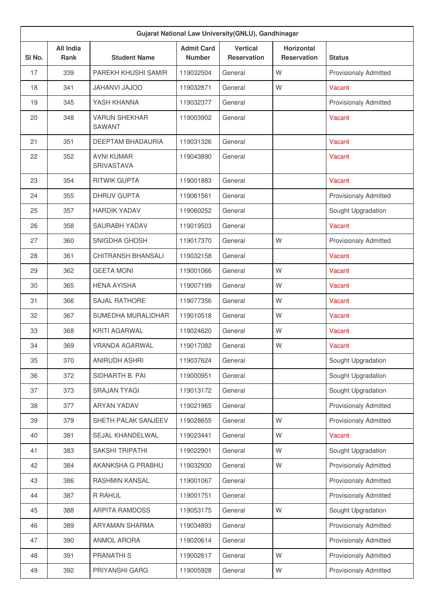| Gujarat National Law University(GNLU), Gandhinagar |                          |                                       |                                    |                                       |                                         |                              |  |  |
|----------------------------------------------------|--------------------------|---------------------------------------|------------------------------------|---------------------------------------|-----------------------------------------|------------------------------|--|--|
| SI No.                                             | <b>All India</b><br>Rank | <b>Student Name</b>                   | <b>Admit Card</b><br><b>Number</b> | <b>Vertical</b><br><b>Reservation</b> | <b>Horizontal</b><br><b>Reservation</b> | <b>Status</b>                |  |  |
| 17                                                 | 339                      | PAREKH KHUSHI SAMIR                   | 119032504                          | General                               | W                                       | <b>Provisionaly Admitted</b> |  |  |
| 18                                                 | 341                      | <b>OOLAL IVAHAL</b>                   | 119032871                          | General                               | W                                       | Vacant                       |  |  |
| 19                                                 | 345                      | YASH KHANNA                           | 119032377                          | General                               |                                         | <b>Provisionaly Admitted</b> |  |  |
| 20                                                 | 348                      | <b>VARUN SHEKHAR</b><br><b>SAWANT</b> | 119003902                          | General                               |                                         | Vacant                       |  |  |
| 21                                                 | 351                      | DEEPTAM BHADAURIA                     | 119031326                          | General                               |                                         | Vacant                       |  |  |
| 22                                                 | 352                      | <b>AVNI KUMAR</b><br>SRIVASTAVA       | 119043890                          | General                               |                                         | Vacant                       |  |  |
| 23                                                 | 354                      | <b>RITWIK GUPTA</b>                   | 119001883                          | General                               |                                         | Vacant                       |  |  |
| 24                                                 | 355                      | <b>DHRUV GUPTA</b>                    | 119061561                          | General                               |                                         | <b>Provisionaly Admitted</b> |  |  |
| 25                                                 | 357                      | <b>HARDIK YADAV</b>                   | 119060252                          | General                               |                                         | Sought Upgradation           |  |  |
| 26                                                 | 358                      | SAURABH YADAV                         | 119019503                          | General                               |                                         | Vacant                       |  |  |
| 27                                                 | 360                      | SNIGDHA GHOSH                         | 119017370                          | General                               | W                                       | <b>Provisionaly Admitted</b> |  |  |
| 28                                                 | 361                      | CHITRANSH BHANSALI                    | 119032158                          | General                               |                                         | Vacant                       |  |  |
| 29                                                 | 362                      | <b>GEETA MONI</b>                     | 119001066                          | General                               | W                                       | Vacant                       |  |  |
| 30                                                 | 365                      | <b>HENA AYISHA</b>                    | 119007199                          | General                               | W                                       | Vacant                       |  |  |
| 31                                                 | 366                      | <b>SAJAL RATHORE</b>                  | 119077356                          | General                               | W                                       | Vacant                       |  |  |
| 32                                                 | 367                      | SUMEDHA MURALIDHAR                    | 119010518                          | General                               | W                                       | Vacant                       |  |  |
| 33                                                 | 368                      | <b>KRITI AGARWAL</b>                  | 119024620                          | General                               | W                                       | Vacant                       |  |  |
| 34                                                 | 369                      | VRANDA AGARWAL                        | 119017082                          | General                               | W                                       | Vacant                       |  |  |
| 35                                                 | 370                      | ANIRUDH ASHRI                         | 119037624                          | General                               |                                         | Sought Upgradation           |  |  |
| 36                                                 | 372                      | SIDHARTH B. PAI                       | 119000951                          | General                               |                                         | Sought Upgradation           |  |  |
| 37                                                 | 373                      | <b>SRAJAN TYAGI</b>                   | 119013172                          | General                               |                                         | Sought Upgradation           |  |  |
| 38                                                 | 377                      | ARYAN YADAV                           | 119021965                          | General                               |                                         | <b>Provisionaly Admitted</b> |  |  |
| 39                                                 | 379                      | SHETH PALAK SANJEEV                   | 119028655                          | General                               | W                                       | <b>Provisionaly Admitted</b> |  |  |
| 40                                                 | 381                      | SEJAL KHANDELWAL                      | 119023441                          | General                               | W                                       | Vacant                       |  |  |
| 41                                                 | 383                      | SAKSHI TRIPATHI                       | 119022901                          | General                               | W                                       | Sought Upgradation           |  |  |
| 42                                                 | 384                      | AKANKSHA G PRABHU                     | 119032930                          | General                               | W                                       | <b>Provisionaly Admitted</b> |  |  |
| 43                                                 | 386                      | RASHMIN KANSAL                        | 119001067                          | General                               |                                         | <b>Provisionaly Admitted</b> |  |  |
| 44                                                 | 387                      | R RAHUL                               | 119001751                          | General                               |                                         | <b>Provisionaly Admitted</b> |  |  |
| 45                                                 | 388                      | <b>ARPITA RAMDOSS</b>                 | 119053175                          | General                               | W                                       | Sought Upgradation           |  |  |
| 46                                                 | 389                      | ARYAMAN SHARMA                        | 119034893                          | General                               |                                         | <b>Provisionaly Admitted</b> |  |  |
| 47                                                 | 390                      | <b>ANMOL ARORA</b>                    | 119020614                          | General                               |                                         | <b>Provisionaly Admitted</b> |  |  |
| 48                                                 | 391                      | <b>PRANATHIS</b>                      | 119002617                          | General                               | W                                       | <b>Provisionaly Admitted</b> |  |  |
| 49                                                 | 392                      | PRIYANSHI GARG                        | 119005928                          | General                               | W                                       | Provisionaly Admitted        |  |  |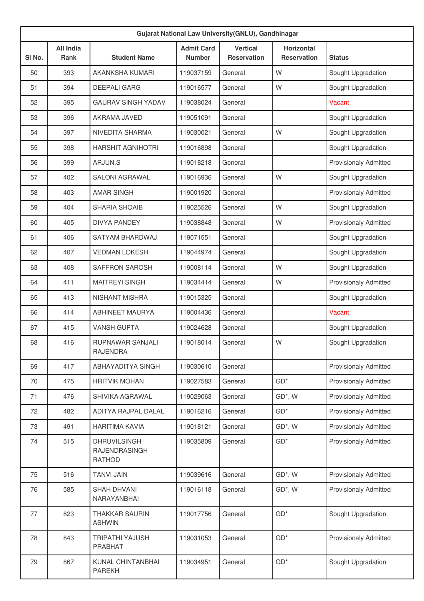| SI No. | <b>All India</b><br>Rank | <b>Student Name</b>                                   | <b>Admit Card</b><br><b>Number</b> | <b>Vertical</b><br><b>Reservation</b> | Horizontal<br><b>Reservation</b> | <b>Status</b>                |
|--------|--------------------------|-------------------------------------------------------|------------------------------------|---------------------------------------|----------------------------------|------------------------------|
| 50     | 393                      | AKANKSHA KUMARI                                       | 119037159                          | General                               | W                                | Sought Upgradation           |
| 51     | 394                      | <b>DEEPALI GARG</b>                                   | 119016577                          | General                               | W                                | Sought Upgradation           |
| 52     | 395                      | <b>GAURAV SINGH YADAV</b>                             | 119038024                          | General                               |                                  | Vacant                       |
| 53     | 396                      | AKRAMA JAVED                                          | 119051091                          | General                               |                                  | Sought Upgradation           |
| 54     | 397                      | NIVEDITA SHARMA                                       | 119030021                          | General                               | W                                | Sought Upgradation           |
| 55     | 398                      | <b>HARSHIT AGNIHOTRI</b>                              | 119016898                          | General                               |                                  | Sought Upgradation           |
| 56     | 399                      | ARJUN.S                                               | 119018218                          | General                               |                                  | <b>Provisionaly Admitted</b> |
| 57     | 402                      | <b>SALONI AGRAWAL</b>                                 | 119016936                          | General                               | W                                | Sought Upgradation           |
| 58     | 403                      | <b>AMAR SINGH</b>                                     | 119001920                          | General                               |                                  | <b>Provisionaly Admitted</b> |
| 59     | 404                      | <b>SHARIA SHOAIB</b>                                  | 119025526                          | General                               | W                                | Sought Upgradation           |
| 60     | 405                      | <b>DIVYA PANDEY</b>                                   | 119038848                          | General                               | W                                | <b>Provisionaly Admitted</b> |
| 61     | 406                      | SATYAM BHARDWAJ                                       | 119071551                          | General                               |                                  | Sought Upgradation           |
| 62     | 407                      | <b>VEDMAN LOKESH</b>                                  | 119044974                          | General                               |                                  | Sought Upgradation           |
| 63     | 408                      | SAFFRON SAROSH                                        | 119008114                          | General                               | W                                | Sought Upgradation           |
| 64     | 411                      | <b>MAITREYI SINGH</b>                                 | 119034414                          | General                               | W                                | <b>Provisionaly Admitted</b> |
| 65     | 413                      | <b>NISHANT MISHRA</b>                                 | 119015325                          | General                               |                                  | Sought Upgradation           |
| 66     | 414                      | ABHINEET MAURYA                                       | 119004436                          | General                               |                                  | Vacant                       |
| 67     | 415                      | <b>VANSH GUPTA</b>                                    | 119024628                          | General                               |                                  | Sought Upgradation           |
| 68     | 416                      | <b>RUPNAWAR SANJALI</b><br><b>RAJENDRA</b>            | 119018014                          | General                               | W                                | Sought Upgradation           |
| 69     | 417                      | ABHAYADITYA SINGH                                     | 119030610                          | General                               |                                  | <b>Provisionaly Admitted</b> |
| 70     | 475                      | <b>HRITVIK MOHAN</b>                                  | 119027583                          | General                               | $GD*$                            | <b>Provisionaly Admitted</b> |
| 71     | 476                      | SHIVIKA AGRAWAL                                       | 119029063                          | General                               | GD*, W                           | <b>Provisionaly Admitted</b> |
| 72     | 482                      | ADITYA RAJPAL DALAL                                   | 119016216                          | General                               | $GD*$                            | <b>Provisionaly Admitted</b> |
| 73     | 491                      | <b>HARITIMA KAVIA</b>                                 | 119018121                          | General                               | $GD^*$ , W                       | <b>Provisionaly Admitted</b> |
| 74     | 515                      | <b>DHRUVILSINGH</b><br>RAJENDRASINGH<br><b>RATHOD</b> | 119035809                          | General                               | $GD*$                            | <b>Provisionaly Admitted</b> |
| 75     | 516                      | <b>TANVI JAIN</b>                                     | 119039616                          | General                               | GD*, W                           | <b>Provisionaly Admitted</b> |
| 76     | 585                      | SHAH DHVANI<br>NARAYANBHAI                            | 119016118                          | General                               | GD*, W                           | <b>Provisionaly Admitted</b> |
| 77     | 823                      | <b>THAKKAR SAURIN</b><br><b>ASHWIN</b>                | 119017756                          | General                               | $GD*$                            | Sought Upgradation           |
| 78     | 843                      | <b>TRIPATHI YAJUSH</b><br>PRABHAT                     | 119031053                          | General                               | $GD*$                            | <b>Provisionaly Admitted</b> |
| 79     | 867                      | KUNAL CHINTANBHAI<br><b>PAREKH</b>                    | 119034951                          | General                               | $GD*$                            | Sought Upgradation           |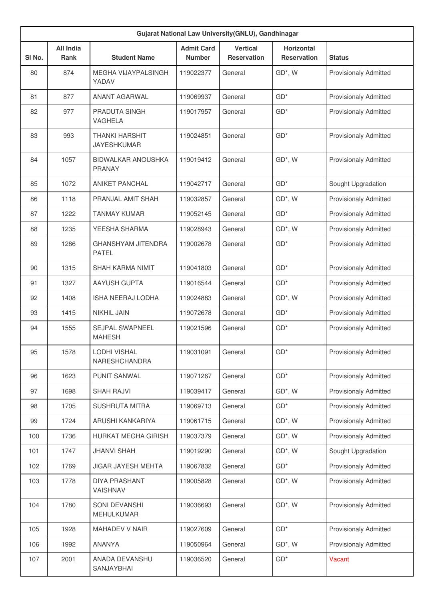| Gujarat National Law University(GNLU), Gandhinagar |                                 |                                             |                                    |                                       |                                         |                              |  |  |
|----------------------------------------------------|---------------------------------|---------------------------------------------|------------------------------------|---------------------------------------|-----------------------------------------|------------------------------|--|--|
| SI No.                                             | <b>All India</b><br><b>Rank</b> | <b>Student Name</b>                         | <b>Admit Card</b><br><b>Number</b> | <b>Vertical</b><br><b>Reservation</b> | <b>Horizontal</b><br><b>Reservation</b> | <b>Status</b>                |  |  |
| 80                                                 | 874                             | MEGHA VIJAYPALSINGH<br>YADAV                | 119022377                          | General                               | $GD^*$ , W                              | <b>Provisionaly Admitted</b> |  |  |
| 81                                                 | 877                             | <b>ANANT AGARWAL</b>                        | 119069937                          | General                               | $GD*$                                   | <b>Provisionaly Admitted</b> |  |  |
| 82                                                 | 977                             | <b>PRADUTA SINGH</b><br><b>VAGHELA</b>      | 119017957                          | General                               | $GD*$                                   | <b>Provisionaly Admitted</b> |  |  |
| 83                                                 | 993                             | <b>THANKI HARSHIT</b><br><b>JAYESHKUMAR</b> | 119024851                          | General                               | $GD^*$                                  | <b>Provisionaly Admitted</b> |  |  |
| 84                                                 | 1057                            | BIDWALKAR ANOUSHKA<br><b>PRANAY</b>         | 119019412                          | General                               | GD*, W                                  | <b>Provisionaly Admitted</b> |  |  |
| 85                                                 | 1072                            | <b>ANIKET PANCHAL</b>                       | 119042717                          | General                               | $GD*$                                   | Sought Upgradation           |  |  |
| 86                                                 | 1118                            | PRANJAI AMIT SHAH                           | 119032857                          | General                               | $GD^*$ , W                              | <b>Provisionaly Admitted</b> |  |  |
| 87                                                 | 1222                            | <b>TANMAY KUMAR</b>                         | 119052145                          | General                               | $GD*$                                   | <b>Provisionaly Admitted</b> |  |  |
| 88                                                 | 1235                            | YEESHA SHARMA                               | 119028943                          | General                               | $GD^*$ , W                              | <b>Provisionaly Admitted</b> |  |  |
| 89                                                 | 1286                            | <b>GHANSHYAM JITENDRA</b><br><b>PATEL</b>   | 119002678                          | General                               | $GD*$                                   | <b>Provisionaly Admitted</b> |  |  |
| 90                                                 | 1315                            | SHAH KARMA NIMIT                            | 119041803                          | General                               | $GD*$                                   | <b>Provisionaly Admitted</b> |  |  |
| 91                                                 | 1327                            | <b>AAYUSH GUPTA</b>                         | 119016544                          | General                               | $GD^*$                                  | <b>Provisionaly Admitted</b> |  |  |
| 92                                                 | 1408                            | <b>ISHA NEERAJ LODHA</b>                    | 119024883                          | General                               | GD*, W                                  | <b>Provisionaly Admitted</b> |  |  |
| 93                                                 | 1415                            | <b>NIKHIL JAIN</b>                          | 119072678                          | General                               | $GD*$                                   | <b>Provisionaly Admitted</b> |  |  |
| 94                                                 | 1555                            | <b>SEJPAL SWAPNEEL</b><br><b>MAHESH</b>     | 119021596                          | General                               | $GD*$                                   | <b>Provisionaly Admitted</b> |  |  |
| 95                                                 | 1578                            | LODHI VISHAL<br>NARESHCHANDRA               | 119031091                          | General                               | $GD*$                                   | <b>Provisionaly Admitted</b> |  |  |
| 96                                                 | 1623                            | <b>PUNIT SANWAL</b>                         | 119071267                          | General                               | $GD*$                                   | Provisionaly Admitted        |  |  |
| 97                                                 | 1698                            | <b>SHAH RAJVI</b>                           | 119039417                          | General                               | $GD^*$ , W                              | Provisionaly Admitted        |  |  |
| 98                                                 | 1705                            | <b>SUSHRUTA MITRA</b>                       | 119069713                          | General                               | $GD*$                                   | <b>Provisionaly Admitted</b> |  |  |
| 99                                                 | 1724                            | ARUSHI KANKARIYA                            | 119061715                          | General                               | GD*, W                                  | <b>Provisionaly Admitted</b> |  |  |
| 100                                                | 1736                            | <b>HURKAT MEGHA GIRISH</b>                  | 119037379                          | General                               | GD*, W                                  | <b>Provisionaly Admitted</b> |  |  |
| 101                                                | 1747                            | <b>JHANVI SHAH</b>                          | 119019290                          | General                               | GD*, W                                  | Sought Upgradation           |  |  |
| 102                                                | 1769                            | <b>JIGAR JAYESH MEHTA</b>                   | 119067832                          | General                               | $GD*$                                   | <b>Provisionaly Admitted</b> |  |  |
| 103                                                | 1778                            | <b>DIYA PRASHANT</b><br>VAISHNAV            | 119005828                          | General                               | $GD^*$ , W                              | <b>Provisionaly Admitted</b> |  |  |
| 104                                                | 1780                            | <b>SONI DEVANSHI</b><br>MEHULKUMAR          | 119036693                          | General                               | $GD^*$ , W                              | Provisionaly Admitted        |  |  |
| 105                                                | 1928                            | MAHADEV V NAIR                              | 119027609                          | General                               | $GD*$                                   | Provisionaly Admitted        |  |  |
| 106                                                | 1992                            | <b>ANANYA</b>                               | 119050964                          | General                               | GD*, W                                  | <b>Provisionaly Admitted</b> |  |  |
| 107                                                | 2001                            | ANADA DEVANSHU<br>SANJAYBHAI                | 119036520                          | General                               | $GD*$                                   | Vacant                       |  |  |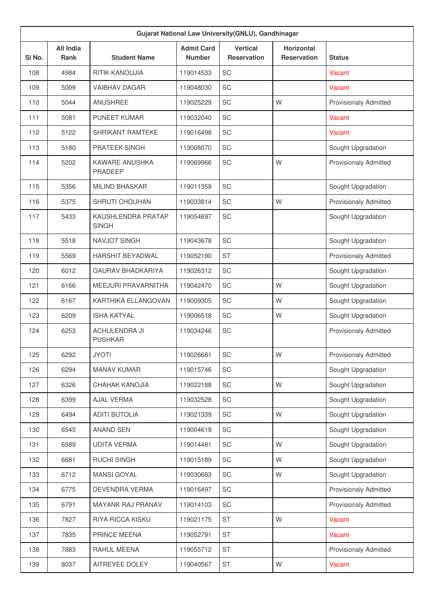| Gujarat National Law University(GNLU), Gandhinagar |                                 |                                        |                                    |                                       |                                         |                              |  |  |
|----------------------------------------------------|---------------------------------|----------------------------------------|------------------------------------|---------------------------------------|-----------------------------------------|------------------------------|--|--|
| SI No.                                             | <b>All India</b><br><b>Rank</b> | <b>Student Name</b>                    | <b>Admit Card</b><br><b>Number</b> | <b>Vertical</b><br><b>Reservation</b> | <b>Horizontal</b><br><b>Reservation</b> | <b>Status</b>                |  |  |
| 108                                                | 4984                            | <b>RITIK KANOUJIA</b>                  | 119014533                          | SC                                    |                                         | Vacant                       |  |  |
| 109                                                | 5009                            | <b>VAIBHAV DAGAR</b>                   | 119048030                          | <b>SC</b>                             |                                         | Vacant                       |  |  |
| 110                                                | 5044                            | <b>ANUSHREE</b>                        | 119025229                          | <b>SC</b>                             | W                                       | <b>Provisionaly Admitted</b> |  |  |
| 111                                                | 5081                            | <b>PUNEET KUMAR</b>                    | 119032040                          | SC                                    |                                         | Vacant                       |  |  |
| 112                                                | 5122                            | <b>SHRIKANT RAMTEKE</b>                | 119016498                          | SC                                    |                                         | Vacant                       |  |  |
| 113                                                | 5180                            | PRATEEK SINGH                          | 119008070                          | <b>SC</b>                             |                                         | Sought Upgradation           |  |  |
| 114                                                | 5202                            | KAWARE ANUSHKA<br>PRADEEP              | 119069966                          | <b>SC</b>                             | W                                       | <b>Provisionaly Admitted</b> |  |  |
| 115                                                | 5356                            | <b>MILIND BHASKAR</b>                  | 119011359                          | SC                                    |                                         | Sought Upgradation           |  |  |
| 116                                                | 5375                            | SHRUTI CHOUHAN                         | 119033814                          | SC                                    | W                                       | <b>Provisionaly Admitted</b> |  |  |
| 117                                                | 5433                            | KAUSHLENDRA PRATAP<br><b>SINGH</b>     | 119054697                          | SC                                    |                                         | Sought Upgradation           |  |  |
| 118                                                | 5518                            | NAVJOT SINGH                           | 119043678                          | SC                                    |                                         | Sought Upgradation           |  |  |
| 119                                                | 5569                            | <b>HARSHIT BEYADWAL</b>                | 119052190                          | <b>ST</b>                             |                                         | <b>Provisionaly Admitted</b> |  |  |
| 120                                                | 6012                            | <b>GAURAV BHADKARIYA</b>               | 119026312                          | <b>SC</b>                             |                                         | Sought Upgradation           |  |  |
| 121                                                | 6166                            | MEEJURI PRAVARNITHA                    | 119042470                          | <b>SC</b>                             | W                                       | Sought Upgradation           |  |  |
| 122                                                | 6167                            | KARTHIKA ELLANGOVAN                    | 119009305                          | <b>SC</b>                             | W                                       | Sought Upgradation           |  |  |
| 123                                                | 6209                            | <b>ISHA KATYAL</b>                     | 119006518                          | SC                                    | W                                       | Sought Upgradation           |  |  |
| 124                                                | 6253                            | <b>ACHULENDRA JI</b><br><b>PUSHKAR</b> | 119034246                          | SC                                    |                                         | <b>Provisionaly Admitted</b> |  |  |
| 125                                                | 6292                            | <b>JYOTI</b>                           | 119026681                          | SC                                    | W                                       | <b>Provisionaly Admitted</b> |  |  |
| 126                                                | 6294                            | <b>MANAV KUMAR</b>                     | 119015746                          | SC                                    |                                         | Sought Upgradation           |  |  |
| 127                                                | 6326                            | CHAHAK KANOJIA                         | 119022188                          | SC                                    | W                                       | Sought Upgradation           |  |  |
| 128                                                | 6399                            | <b>AJAL VERMA</b>                      | 119032528                          | SC                                    |                                         | Sought Upgradation           |  |  |
| 129                                                | 6494                            | <b>ADITI BUTOLIA</b>                   | 119021339                          | SC                                    | W                                       | Sought Upgradation           |  |  |
| 130                                                | 6545                            | <b>ANAND SEN</b>                       | 119004619                          | SC                                    |                                         | Sought Upgradation           |  |  |
| 131                                                | 6589                            | <b>UDITA VERMA</b>                     | 119014481                          | SC                                    | W                                       | Sought Upgradation           |  |  |
| 132                                                | 6681                            | <b>RUCHI SINGH</b>                     | 119015189                          | SC                                    | W                                       | Sought Upgradation           |  |  |
| 133                                                | 6712                            | <b>MANSI GOYAL</b>                     | 119030683                          | SC                                    | W                                       | Sought Upgradation           |  |  |
| 134                                                | 6775                            | DEVENDRA VERMA                         | 119016497                          | SC                                    |                                         | <b>Provisionaly Admitted</b> |  |  |
| 135                                                | 6791                            | MAYANK RAJ PRANAV                      | 119014103                          | SC                                    |                                         | Provisionaly Admitted        |  |  |
| 136                                                | 7827                            | <b>RIYA RICCA KISKU</b>                | 119021175                          | <b>ST</b>                             | W                                       | Vacant                       |  |  |
| 137                                                | 7835                            | PRINCE MEENA                           | 119052791                          | <b>ST</b>                             |                                         | Vacant                       |  |  |
| 138                                                | 7883                            | RAHUL MEENA                            | 119055712                          | <b>ST</b>                             |                                         | <b>Provisionaly Admitted</b> |  |  |
| 139                                                | 8037                            | AITREYEE DOLEY                         | 119040567                          | <b>ST</b>                             | W                                       | Vacant                       |  |  |